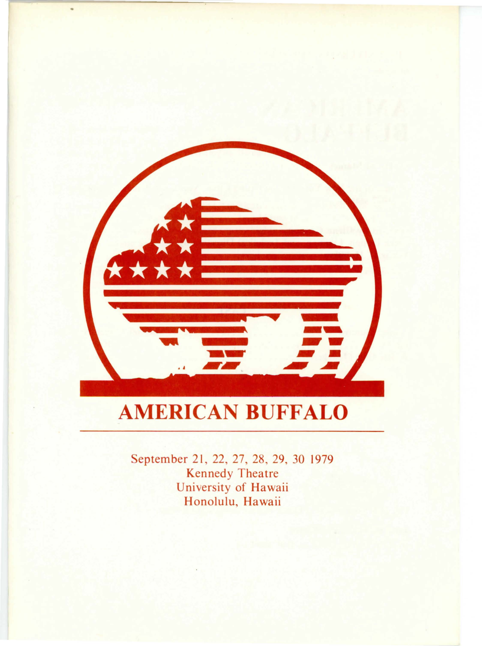

## **AMERICAN BUFFALO**

September 21, 22, 27, 28, 29, 30 1979 Kennedy Theatre University of Hawaii Honolulu, Hawaii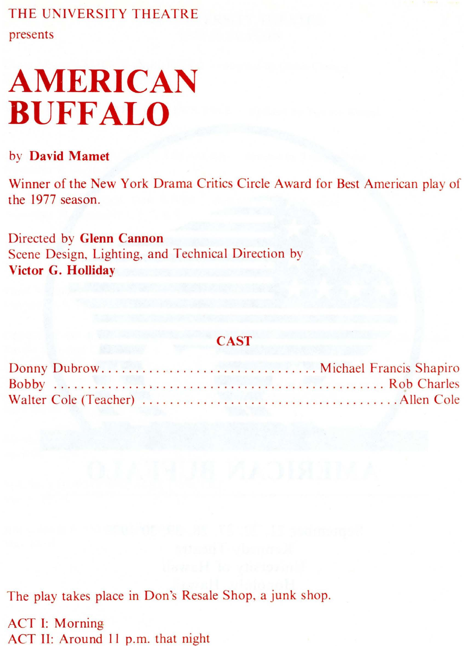## THE UNIVERSITY THEATRE presents

# **AMERICAN BUFFALO**

## by **David Mamet**

Winner of the New York Drama Critics Circle Award for Best American play of the 1977 season.

Directed by **Glenn Cannon**  Scene Design, Lighting, and Technical Direction by **Victor G. Holliday** 

### **CAST**

The play takes place in Don's Resale Shop, a junk shop.

ACT I: Morning ACT II: Around II p.m. that night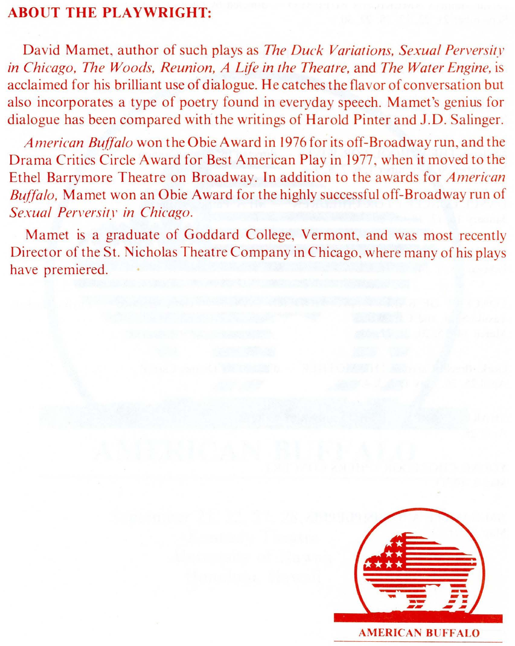#### **ABOUT THE PLAYWRIGHT:**

David Mamet, author of such plays as *The Duck Variations, Sexual Perversill' in Chicago, The Woods, Reunion, A Lffe in the Theatre,* and *The Water Engine,* is acclaimed for his brilliant use of dialogue. He catches the flavor of conversation but also incorporates a type of poetry found in everyday speech. Mamet's genius for dialogue has been compared with the writings of Harold Pinter and J.D. Salinger.

*Americ·an Buffalo* won the Obie Award in 1976 for its off-Broadway run, and the Drama Critics Circle Award for Best American Play in 1977, when it moved to the Ethel Barrymore Theatre on Broadway. In addition to the awards for *American Buffalo,* Mamet won an Obie Award for the highly successful off-Broadway run of *Sexual Perversin· in Chicago.* 

Mamet is a graduate of Goddard College, Vermont, and was most recently Director of the St. Nicholas Theatre Company in Chicago, where many of his plays have premiered.